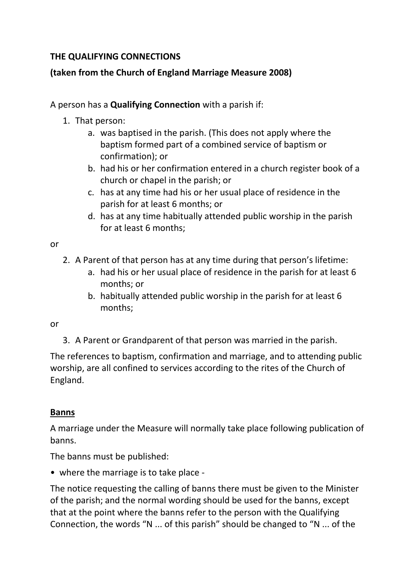## **THE QUALIFYING CONNECTIONS**

# **(taken from the Church of England Marriage Measure 2008)**

#### A person has a **Qualifying Connection** with a parish if:

- 1. That person:
	- a. was baptised in the parish. (This does not apply where the baptism formed part of a combined service of baptism or confirmation); or
	- b. had his or her confirmation entered in a church register book of a church or chapel in the parish; or
	- c. has at any time had his or her usual place of residence in the parish for at least 6 months; or
	- d. has at any time habitually attended public worship in the parish for at least 6 months;

or

- 2. A Parent of that person has at any time during that person's lifetime:
	- a. had his or her usual place of residence in the parish for at least 6 months; or
	- b. habitually attended public worship in the parish for at least 6 months;

or

3. A Parent or Grandparent of that person was married in the parish.

The references to baptism, confirmation and marriage, and to attending public worship, are all confined to services according to the rites of the Church of England.

### **Banns**

A marriage under the Measure will normally take place following publication of banns.

The banns must be published:

• where the marriage is to take place -

The notice requesting the calling of banns there must be given to the Minister of the parish; and the normal wording should be used for the banns, except that at the point where the banns refer to the person with the Qualifying Connection, the words "N ... of this parish" should be changed to "N ... of the